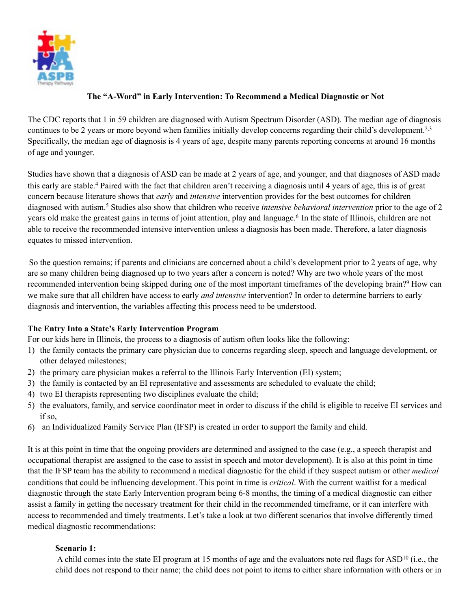

# **The "A-Word" in Early Intervention: To Recommend a Medical Diagnostic or Not**

The CDC reports that 1 in 59 children are diagnosed with Autism Spectrum Disorder (ASD). The median age of diagnosis continues to be 2 years or more beyond when families initially develop concerns regarding their child's development.2,3 Specifically, the median age of diagnosis is 4 years of age, despite many parents reporting concerns at around 16 months of age and younger.

Studies have shown that a diagnosis of ASD can be made at 2 years of age, and younger, and that diagnoses of ASD made this early are stable.4 Paired with the fact that children aren't receiving a diagnosis until 4 years of age, this is of great concern because literature shows that *early* and *intensive* intervention provides for the best outcomes for children diagnosed with autism.5 Studies also show that children who receive *intensive behavioral intervention* prior to the age of 2 years old make the greatest gains in terms of joint attention, play and language.<sup>6</sup> In the state of Illinois, children are not able to receive the recommended intensive intervention unless a diagnosis has been made. Therefore, a later diagnosis equates to missed intervention.

So the question remains; if parents and clinicians are concerned about a child's development prior to 2 years of age, why are so many children being diagnosed up to two years after a concern is noted? Why are two whole years of the most recommended intervention being skipped during one of the most important timeframes of the developing brain?9 How can we make sure that all children have access to early *and intensive* intervention? In order to determine barriers to early diagnosis and intervention, the variables affecting this process need to be understood.

## **The Entry Into a State's Early Intervention Program**

For our kids here in Illinois, the process to a diagnosis of autism often looks like the following:

- 1) the family contacts the primary care physician due to concerns regarding sleep, speech and language development, or other delayed milestones;
- 2) the primary care physician makes a referral to the Illinois Early Intervention (EI) system;
- 3) the family is contacted by an EI representative and assessments are scheduled to evaluate the child;
- 4) two EI therapists representing two disciplines evaluate the child;
- 5) the evaluators, family, and service coordinator meet in order to discuss if the child is eligible to receive EI services and if so,
- 6) an Individualized Family Service Plan (IFSP) is created in order to support the family and child.

It is at this point in time that the ongoing providers are determined and assigned to the case (e.g., a speech therapist and occupational therapist are assigned to the case to assist in speech and motor development). It is also at this point in time that the IFSP team has the ability to recommend a medical diagnostic for the child if they suspect autism or other *medical*  conditions that could be influencing development. This point in time is *critical*. With the current waitlist for a medical diagnostic through the state Early Intervention program being 6-8 months, the timing of a medical diagnostic can either assist a family in getting the necessary treatment for their child in the recommended timeframe, or it can interfere with access to recommended and timely treatments. Let's take a look at two different scenarios that involve differently timed medical diagnostic recommendations:

## **Scenario 1:**

 A child comes into the state EI program at 15 months of age and the evaluators note red flags for ASD10 (i.e., the child does not respond to their name; the child does not point to items to either share information with others or in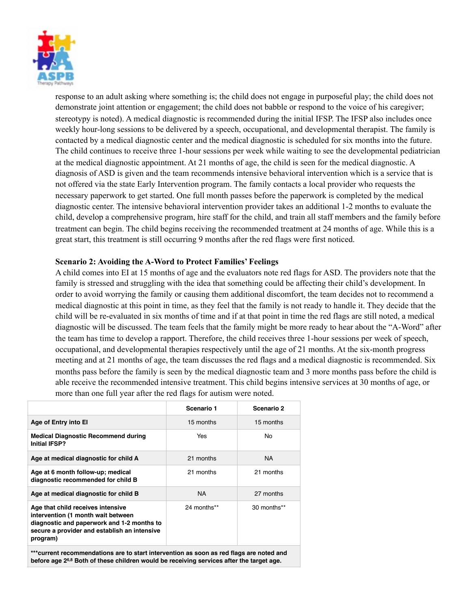

response to an adult asking where something is; the child does not engage in purposeful play; the child does not demonstrate joint attention or engagement; the child does not babble or respond to the voice of his caregiver; stereotypy is noted). A medical diagnostic is recommended during the initial IFSP. The IFSP also includes once weekly hour-long sessions to be delivered by a speech, occupational, and developmental therapist. The family is contacted by a medical diagnostic center and the medical diagnostic is scheduled for six months into the future. The child continues to receive three 1-hour sessions per week while waiting to see the developmental pediatrician at the medical diagnostic appointment. At 21 months of age, the child is seen for the medical diagnostic. A diagnosis of ASD is given and the team recommends intensive behavioral intervention which is a service that is not offered via the state Early Intervention program. The family contacts a local provider who requests the necessary paperwork to get started. One full month passes before the paperwork is completed by the medical diagnostic center. The intensive behavioral intervention provider takes an additional 1-2 months to evaluate the child, develop a comprehensive program, hire staff for the child, and train all staff members and the family before treatment can begin. The child begins receiving the recommended treatment at 24 months of age. While this is a great start, this treatment is still occurring 9 months after the red flags were first noticed.

#### **Scenario 2: Avoiding the A-Word to Protect Families' Feelings**

A child comes into EI at 15 months of age and the evaluators note red flags for ASD. The providers note that the family is stressed and struggling with the idea that something could be affecting their child's development. In order to avoid worrying the family or causing them additional discomfort, the team decides not to recommend a medical diagnostic at this point in time, as they feel that the family is not ready to handle it. They decide that the child will be re-evaluated in six months of time and if at that point in time the red flags are still noted, a medical diagnostic will be discussed. The team feels that the family might be more ready to hear about the "A-Word" after the team has time to develop a rapport. Therefore, the child receives three 1-hour sessions per week of speech, occupational, and developmental therapies respectively until the age of 21 months. At the six-month progress meeting and at 21 months of age, the team discusses the red flags and a medical diagnostic is recommended. Six months pass before the family is seen by the medical diagnostic team and 3 more months pass before the child is able receive the recommended intensive treatment. This child begins intensive services at 30 months of age, or more than one full year after the red flags for autism were noted.

|                                                                                                                                                                                   | Scenario 1  | Scenario 2  |
|-----------------------------------------------------------------------------------------------------------------------------------------------------------------------------------|-------------|-------------|
| Age of Entry into El                                                                                                                                                              | 15 months   | 15 months   |
| <b>Medical Diagnostic Recommend during</b><br><b>Initial IFSP?</b>                                                                                                                | Yes         | No.         |
| Age at medical diagnostic for child A                                                                                                                                             | 21 months   | NA.         |
| Age at 6 month follow-up; medical<br>diagnostic recommended for child B                                                                                                           | 21 months   | 21 months   |
| Age at medical diagnostic for child B                                                                                                                                             | <b>NA</b>   | 27 months   |
| Age that child receives intensive<br>intervention (1 month wait between<br>diagnostic and paperwork and 1-2 months to<br>secure a provider and establish an intensive<br>program) | 24 months** | 30 months** |
|                                                                                                                                                                                   |             |             |

**\*\*\*current recommendations are to start intervention as soon as red flags are noted and before age 26,8 Both of these children would be receiving services after the target age.**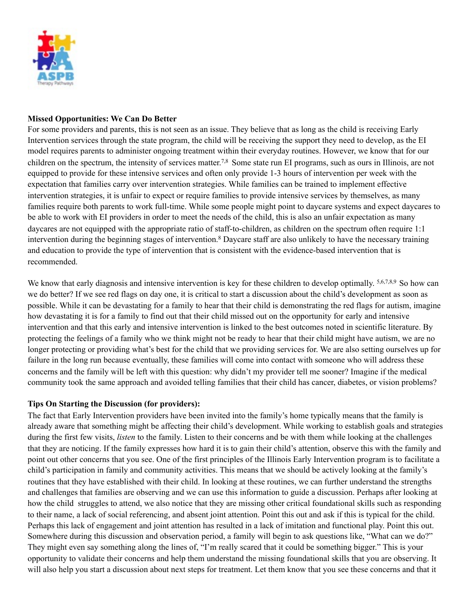

#### **Missed Opportunities: We Can Do Better**

For some providers and parents, this is not seen as an issue. They believe that as long as the child is receiving Early Intervention services through the state program, the child will be receiving the support they need to develop, as the EI model requires parents to administer ongoing treatment within their everyday routines. However, we know that for our children on the spectrum, the intensity of services matter.7,8 Some state run EI programs, such as ours in Illinois, are not equipped to provide for these intensive services and often only provide 1-3 hours of intervention per week with the expectation that families carry over intervention strategies. While families can be trained to implement effective intervention strategies, it is unfair to expect or require families to provide intensive services by themselves, as many families require both parents to work full-time. While some people might point to daycare systems and expect daycares to be able to work with EI providers in order to meet the needs of the child, this is also an unfair expectation as many daycares are not equipped with the appropriate ratio of staff-to-children, as children on the spectrum often require 1:1 intervention during the beginning stages of intervention.8 Daycare staff are also unlikely to have the necessary training and education to provide the type of intervention that is consistent with the evidence-based intervention that is recommended.

We know that early diagnosis and intensive intervention is key for these children to develop optimally. 5,6,7,8,9 So how can we do better? If we see red flags on day one, it is critical to start a discussion about the child's development as soon as possible. While it can be devastating for a family to hear that their child is demonstrating the red flags for autism, imagine how devastating it is for a family to find out that their child missed out on the opportunity for early and intensive intervention and that this early and intensive intervention is linked to the best outcomes noted in scientific literature. By protecting the feelings of a family who we think might not be ready to hear that their child might have autism, we are no longer protecting or providing what's best for the child that we providing services for. We are also setting ourselves up for failure in the long run because eventually, these families will come into contact with someone who will address these concerns and the family will be left with this question: why didn't my provider tell me sooner? Imagine if the medical community took the same approach and avoided telling families that their child has cancer, diabetes, or vision problems?

## **Tips On Starting the Discussion (for providers):**

The fact that Early Intervention providers have been invited into the family's home typically means that the family is already aware that something might be affecting their child's development. While working to establish goals and strategies during the first few visits, *listen* to the family. Listen to their concerns and be with them while looking at the challenges that they are noticing. If the family expresses how hard it is to gain their child's attention, observe this with the family and point out other concerns that you see. One of the first principles of the Illinois Early Intervention program is to facilitate a child's participation in family and community activities. This means that we should be actively looking at the family's routines that they have established with their child. In looking at these routines, we can further understand the strengths and challenges that families are observing and we can use this information to guide a discussion. Perhaps after looking at how the child struggles to attend, we also notice that they are missing other critical foundational skills such as responding to their name, a lack of social referencing, and absent joint attention. Point this out and ask if this is typical for the child. Perhaps this lack of engagement and joint attention has resulted in a lack of imitation and functional play. Point this out. Somewhere during this discussion and observation period, a family will begin to ask questions like, "What can we do?" They might even say something along the lines of, "I'm really scared that it could be something bigger." This is your opportunity to validate their concerns and help them understand the missing foundational skills that you are observing. It will also help you start a discussion about next steps for treatment. Let them know that you see these concerns and that it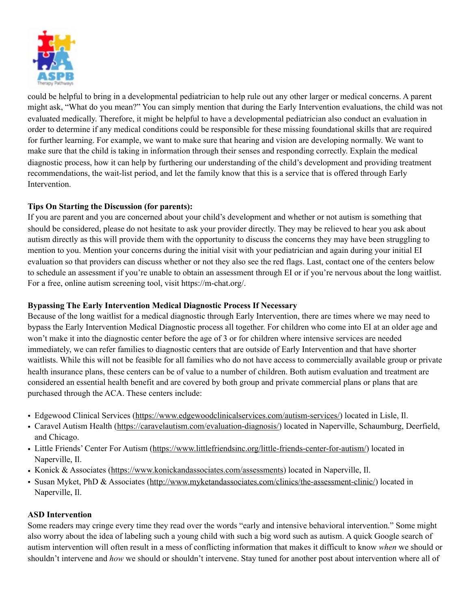

could be helpful to bring in a developmental pediatrician to help rule out any other larger or medical concerns. A parent might ask, "What do you mean?" You can simply mention that during the Early Intervention evaluations, the child was not evaluated medically. Therefore, it might be helpful to have a developmental pediatrician also conduct an evaluation in order to determine if any medical conditions could be responsible for these missing foundational skills that are required for further learning. For example, we want to make sure that hearing and vision are developing normally. We want to make sure that the child is taking in information through their senses and responding correctly. Explain the medical diagnostic process, how it can help by furthering our understanding of the child's development and providing treatment recommendations, the wait-list period, and let the family know that this is a service that is offered through Early Intervention.

# **Tips On Starting the Discussion (for parents):**

If you are parent and you are concerned about your child's development and whether or not autism is something that should be considered, please do not hesitate to ask your provider directly. They may be relieved to hear you ask about autism directly as this will provide them with the opportunity to discuss the concerns they may have been struggling to mention to you. Mention your concerns during the initial visit with your pediatrician and again during your initial EI evaluation so that providers can discuss whether or not they also see the red flags. Last, contact one of the centers below to schedule an assessment if you're unable to obtain an assessment through EI or if you're nervous about the long waitlist. For a free, online autism screening tool, visit https://m-chat.org/.

## **Bypassing The Early Intervention Medical Diagnostic Process If Necessary**

Because of the long waitlist for a medical diagnostic through Early Intervention, there are times where we may need to bypass the Early Intervention Medical Diagnostic process all together. For children who come into EI at an older age and won't make it into the diagnostic center before the age of 3 or for children where intensive services are needed immediately, we can refer families to diagnostic centers that are outside of Early Intervention and that have shorter waitlists. While this will not be feasible for all families who do not have access to commercially available group or private health insurance plans, these centers can be of value to a number of children. Both autism evaluation and treatment are considered an essential health benefit and are covered by both group and private commercial plans or plans that are purchased through the ACA. These centers include:

- Edgewood Clinical Services [\(https://www.edgewoodclinicalservices.com/autism-services/\)](https://www.edgewoodclinicalservices.com/autism-services/) located in Lisle, Il.
- Caravel Autism Health [\(https://caravelautism.com/evaluation-diagnosis/\)](https://caravelautism.com/evaluation-diagnosis/) located in Naperville, Schaumburg, Deerfield, and Chicago.
- Little Friends' Center For Autism [\(https://www.littlefriendsinc.org/little-friends-center-for-autism/](https://www.littlefriendsinc.org/little-friends-center-for-autism/)) located in Naperville, Il.
- Konick & Associates [\(https://www.konickandassociates.com/assessments](https://www.konickandassociates.com/assessments)) located in Naperville, Il.
- Susan Myket, PhD & Associates ([http://www.myketandassociates.com/clinics/the-assessment-clinic/\)](http://www.myketandassociates.com/clinics/the-assessment-clinic/) located in Naperville, Il.

# **ASD Intervention**

Some readers may cringe every time they read over the words "early and intensive behavioral intervention." Some might also worry about the idea of labeling such a young child with such a big word such as autism. A quick Google search of autism intervention will often result in a mess of conflicting information that makes it difficult to know *when* we should or shouldn't intervene and *how* we should or shouldn't intervene. Stay tuned for another post about intervention where all of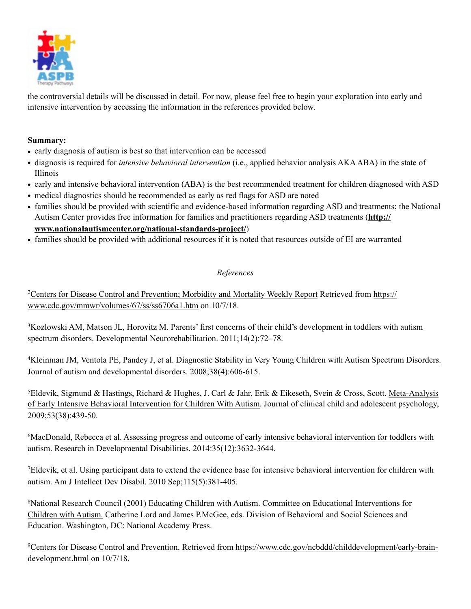

the controversial details will be discussed in detail. For now, please feel free to begin your exploration into early and intensive intervention by accessing the information in the references provided below.

# **Summary:**

- early diagnosis of autism is best so that intervention can be accessed
- **•** diagnosis is required for *intensive behavioral intervention* (i.e., applied behavior analysis AKA ABA) in the state of Illinois
- **•** early and intensive behavioral intervention (ABA) is the best recommended treatment for children diagnosed with ASD
- **•** medical diagnostics should be recommended as early as red flags for ASD are noted
- **•** families should be provided with scientific and evidence-based information regarding ASD and treatments; the National [Autism Center provides free information for families and practitioners regarding ASD treatments \(](http://www.nationalautismcenter.org/national-standards-project/)**http:// www.nationalautismcenter.org/national-standards-project/**)
- **•** families should be provided with additional resources if it is noted that resources outside of EI are warranted

# *References*

[2Centers for Disease Control and Prevention; Morbidity and Mortality Weekly Report Retrieved from https://](https://www.cdc.gov/mmwr/volumes/67/ss/ss6706a1.htm) www.cdc.gov/mmwr/volumes/67/ss/ss6706a1.htm on 10/7/18.

[3Kozlowski AM, Matson JL, Horovitz M. Parents' first concerns of their child's development in toddlers with autism](https://www.cdc.gov/mmwr/volumes/67/ss/ss6706a1.htm)  spectrum disorders. Developmental Neurorehabilitation. 2011;14(2):72–78.

[4Kleinman JM, Ventola PE, Pandey J, et al. Diagnostic Stability in Very Young Children with Autism Spectrum Disorders.](https://www.ncbi.nlm.nih.gov/pmc/articles/PMC3625643/)  Journal of autism and developmental disorders. 2008;38(4):606-615.

[5Eldevik, Sigmund & Hastings, Richard & Hughes, J. Carl & Jahr, Erik & Eikeseth, Svein & Cross, Scott. Meta-Analysis](https://www.researchgate.net/publication/24422642_Meta-Analysis_of_Early_Intensive_Behavioral_Intervention_for_Children_With_Autism)  of Early Intensive Behavioral Intervention for Children With Autism. Journal of clinical child and adolescent psychology, 2009;53(38):439-50.

[6MacDonald, Rebecca et al. Assessing progress and outcome of early intensive behavioral intervention for toddlers with](http://www.academia.edu/11228414/Assessing_progress_and_outcome_of_early_intensive_behavioral_intervention_for_toddlers_with_autism)  autism. Research in Developmental Disabilities. 2014:35(12):3632-3644.

[7Eldevik, et al. Using participant data to extend the evidence base for intensive behavioral intervention for children with](https://www.ncbi.nlm.nih.gov/pubmed/20687823)  autism. Am J Intellect Dev Disabil. 2010 Sep;115(5):381-405.

[8National Research Council \(2001\) Educating Children with Autism. Committee on Educational Interventions for](https://infiniteach.com/wp-content/uploads/2015/07/National-Research-Study-.pdf)  Children with Autism. Catherine Lord and James P.McGee, eds. Division of Behavioral and Social Sciences and Education. Washington, DC: National Academy Press.

[9Centers for Disease Control and Prevention. Retrieved from https://www.cdc.gov/ncbddd/childdevelopment/early-brain](http://www.cdc.gov/ncbddd/childdevelopment/early-brain-development.html)development.html on 10/7/18.